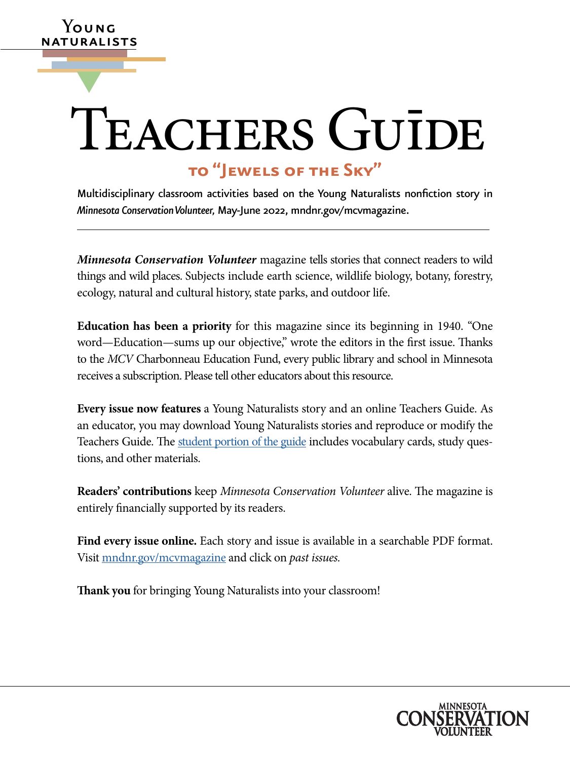# TEACHERS GUIDE **to "Jewels of the Sky"**

**Y**oung naturalists

▼

Multidisciplinary classroom activities based on the Young Naturalists nonfction story in *Minnesota Conservation Volunteer,* May-June 2022, [mndnr.gov/mcvmagazine.](http://www.dnr.state.mn.us/mcvmagazine/index.html)

 things and wild places. Subjects include earth science, wildlife biology, botany, forestry, *Minnesota Conservation Volunteer* magazine tells stories that connect readers to wild ecology, natural and cultural history, state parks, and outdoor life.

**Education has been a priority** for this magazine since its beginning in 1940. "One word—Education—sums up our objective," wrote the editors in the first issue. Thanks to the *MCV* Charbonneau Education Fund, every public library and school in Minnesota receives a subscription. Please tell other educators about this resource.

 an educator, you may download Young Naturalists stories and reproduce or modify the **Every issue now features** a Young Naturalists story and an online Teachers Guide. As Teachers Guide. The [student portion of the guide](https://www.dnr.state.mn.us/mcvmagazine/young-naturalists.html) includes vocabulary cards, study questions, and other materials.

**Readers' contributions** keep *Minnesota Conservation Volunteer* alive. The magazine is entirely fnancially supported by its readers.

**Find every issue online.** Each story and issue is available in a searchable PDF format. Visit [mndnr.gov/mcvmagazine](http://www.mndnr.gov/mcvmagazine) and click on *past issues.* 

**Tank you** for bringing Young Naturalists into your classroom!

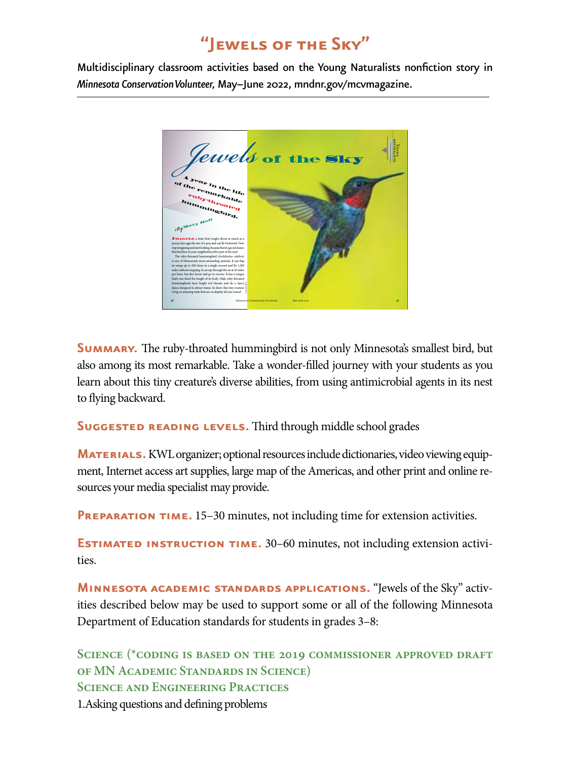# **"Jewels of the Sky"**

Multidisciplinary classroom activities based on the Young Naturalists nonfction story in *Minnesota Conservation Volunteer,* May–June 2022, [mndnr.gov/mcvmagazine](http://www.mndnr.gov/mcvmagazine).



**SUMMARY.** The ruby-throated hummingbird is not only Minnesota's smallest bird, but also among its most remarkable. Take a wonder-flled journey with your students as you learn about this tiny creature's diverse abilities, from using antimicrobial agents in its nest to flying backward.

#### **SUGGESTED READING LEVELS.** Third through middle school grades

**MATERIALS.** KWL organizer; optional resources include dictionaries, video viewing equipment, Internet access art supplies, large map of the Americas, and other print and online resources your media specialist may provide.

**PREPARATION TIME.** 15–30 minutes, not including time for extension activities.

**ESTIMATED INSTRUCTION TIME.** 30–60 minutes, not including extension activities.

**Minnesota academic standards applications.** "Jewels of the Sky" activities described below may be used to support some or all of the following Minnesota Department of Education standards for students in grades 3–8:

**Science (\*coding is based on the 2019 commissioner approved draft of MN Academic Standards in Science) Science and Engineering Practices**  1.Asking questions and defning problems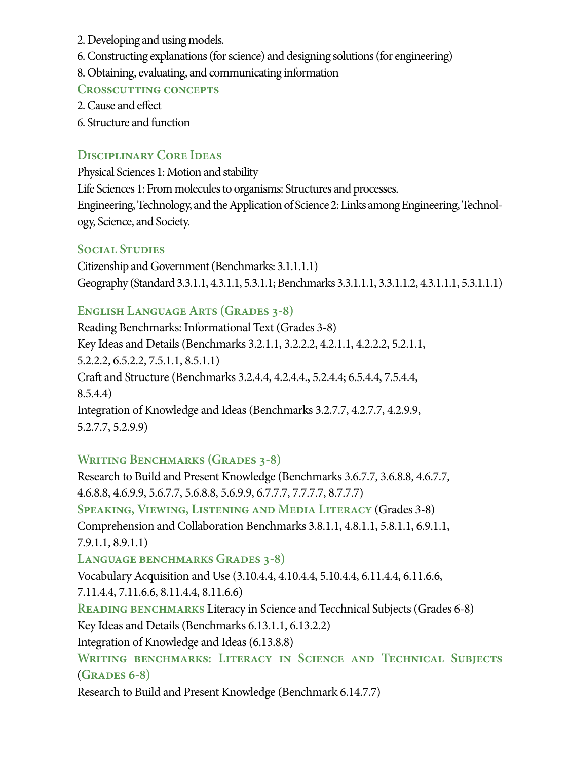- 2. Developing and using models.
- 6. Constructing explanations (for science) and designing solutions (for engineering)
- 8. Obtaining, evaluating, and communicating information

## **Crosscutting concepts**

- 2. Cause and efect
- 6. Structure and function

# **Disciplinary Core Ideas**

Physical Sciences 1: Motion and stability Life Sciences 1: From molecules to organisms: Structures and processes. Engineering, Technology, and the Application of Science 2: Links among Engineering, Technology, Science, and Society.

# **Social Studies**

Citizenship and Government (Benchmarks: 3.1.1.1.1) Geography (Standard 3.3.1.1, 4.3.1.1, 5.3.1.1; Benchmarks 3.3.1.1.1, 3.3.1.1.2, 4.3.1.1.1, 5.3.1.1.1)

# **ENGLISH LANGUAGE ARTS (GRADES 3-8)**

Reading Benchmarks: Informational Text (Grades 3-8) Key Ideas and Details (Benchmarks 3.2.1.1, 3.2.2.2, 4.2.1.1, 4.2.2.2, 5.2.1.1, 5.2.2.2, 6.5.2.2, 7.5.1.1, 8.5.1.1) Craft and Structure (Benchmarks 3.2.4.4, 4.2.4.4, 5.2.4.4; 6.5.4.4, 7.5.4.4, 8.5.4.4) Integration of Knowledge and Ideas (Benchmarks 3.2.7.7, 4.2.7.7, 4.2.9.9, 5.2.7.7, 5.2.9.9)

# **WRITING BENCHMARKS (GRADES 3-8)**

Research to Build and Present Knowledge (Benchmarks 3.6.7.7, 3.6.8.8, 4.6.7.7, 4.6.8.8, 4.6.9.9, 5.6.7.7, 5.6.8.8, 5.6.9.9, 6.7.7.7, 7.7.7.7, 8.7.7.7) **Speaking, Viewing, Listening and Media Literacy** (Grades 3-8) Comprehension and Collaboration Benchmarks 3.8.1.1, 4.8.1.1, 5.8.1.1, 6.9.1.1, 7.9.1.1, 8.9.1.1) LANGUAGE BENCHMARKS GRADES 3-8) Vocabulary Acquisition and Use (3.10.4.4, 4.10.4.4, 5.10.4.4, 6.11.4.4, 6.11.6.6, 7.11.4.4, 7.11.6.6, 8.11.4.4, 8.11.6.6) **READING BENCHMARKS** Literacy in Science and Tecchnical Subjects (Grades 6-8) Key Ideas and Details (Benchmarks 6.13.1.1, 6.13.2.2) Integration of Knowledge and Ideas (6.13.8.8) WRITING BENCHMARKS: LITERACY IN SCIENCE AND TECHNICAL SUBJECTS (**Grades 6-8)** 

Research to Build and Present Knowledge (Benchmark 6.14.7.7)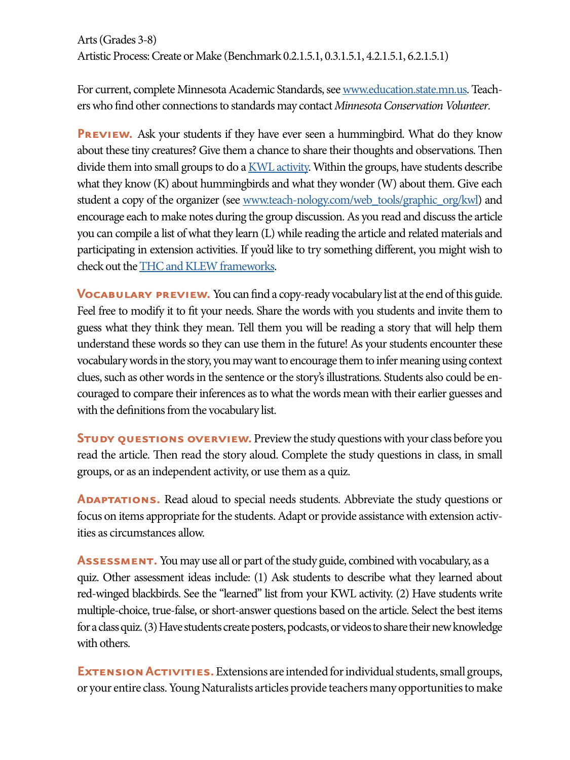For current, complete Minnesota Academic Standards, see [www.education.state.mn.us](https://education.mn.gov/mde/index.html). Teachers who fnd other connections to standards may contact *Minnesota Conservation Volunteer*.

**PREVIEW.** Ask your students if they have ever seen a hummingbird. What do they know about these tiny creatures? Give them a chance to share their thoughts and observations. Then divide them into small groups to do a [KWL activity](http://www.nea.org). Within the groups, have students describe what they know (K) about hummingbirds and what they wonder (W) about them. Give each student a copy of the organizer (see [www.teach-nology.com/web\\_tools/graphic\\_org/kwl\)](http://www.teach-nology.com/web_tools/graphic_org/kwl) and encourage each to make notes during the group discussion. As you read and discuss the article you can compile a list of what they learn (L) while reading the article and related materials and participating in extension activities. If you'd like to try something diferent, you might wish to check out the [THC and KLEW frameworks.](https://beyondpenguins.ehe.osu.edu/issue/learning-from-the-polar-past/updating-the-k-w-l-brings-the-focus-back-to-literacy-evidential-thinking)

**VOCABULARY PREVIEW.** You can find a copy-ready vocabulary list at the end of this guide. Feel free to modify it to ft your needs. Share the words with you students and invite them to guess what they think they mean. Tell them you will be reading a story that will help them understand these words so they can use them in the future! As your students encounter these vocabulary words in the story, you may want to encourage them to infer meaning using context clues, such as other words in the sentence or the story's illustrations. Students also could be encouraged to compare their inferences as to what the words mean with their earlier guesses and with the defnitions from the vocabulary list.

**STUDY QUESTIONS OVERVIEW.** Preview the study questions with your class before you read the article. Then read the story aloud. Complete the study questions in class, in small groups, or as an independent activity, or use them as a quiz.

**ADAPTATIONS.** Read aloud to special needs students. Abbreviate the study questions or focus on items appropriate for the students. Adapt or provide assistance with extension activities as circumstances allow.

**Assessment.** You may use all or part of the study guide, combined with vocabulary, as a quiz. Other assessment ideas include: (1) Ask students to describe what they learned about red-winged blackbirds. See the "learned" list from your KWL activity. (2) Have students write multiple-choice, true-false, or short-answer questions based on the article. Select the best items for a class quiz. (3) Have students create posters, podcasts, or videos to share their new knowledge with others.

**EXTENSION ACTIVITIES.** Extensions are intended for individual students, small groups, or your entire class. Young Naturalists articles provide teachers many opportunities to make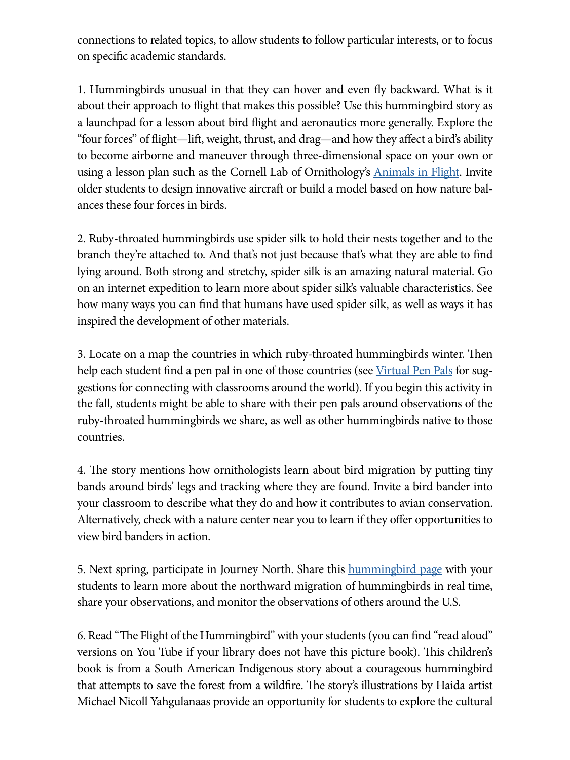connections to related topics, to allow students to follow particular interests, or to focus on specifc academic standards.

1. Hummingbirds unusual in that they can hover and even fy backward. What is it about their approach to fight that makes this possible? Use this hummingbird story as a launchpad for a lesson about bird fight and aeronautics more generally. Explore the "four forces" of fight—lif, weight, thrust, and drag—and how they afect a bird's ability to become airborne and maneuver through three-dimensional space on your own or using a lesson plan such as the Cornell Lab of Ornithology's **Animals in Flight**. Invite older students to design innovative aircraft or build a model based on how nature balances these four forces in birds.

2. Ruby-throated hummingbirds use spider silk to hold their nests together and to the branch they're attached to. And that's not just because that's what they are able to fnd lying around. Both strong and stretchy, spider silk is an amazing natural material. Go on an internet expedition to learn more about spider silk's valuable characteristics. See how many ways you can fnd that humans have used spider silk, as well as ways it has inspired the development of other materials.

3. Locate on a map the countries in which ruby-throated humming birds winter. Then help each student find a pen pal in one of those countries (see [Virtual Pen Pals](https://www.weareteachers.com/virtual-pen-pals/) for suggestions for connecting with classrooms around the world). If you begin this activity in the fall, students might be able to share with their pen pals around observations of the ruby-throated hummingbirds we share, as well as other hummingbirds native to those countries.

4. The story mentions how ornithologists learn about bird migration by putting tiny bands around birds' legs and tracking where they are found. Invite a bird bander into your classroom to describe what they do and how it contributes to avian conservation. Alternatively, check with a nature center near you to learn if they offer opportunities to view bird banders in action.

5. Next spring, participate in Journey North. Share this **humming bird page** with your students to learn more about the northward migration of hummingbirds in real time, share your observations, and monitor the observations of others around the U.S.

6. Read "The Flight of the Hummingbird" with your students (you can find "read aloud" versions on You Tube if your library does not have this picture book). This children's book is from a South American Indigenous story about a courageous hummingbird that attempts to save the forest from a wildfire. The story's illustrations by Haida artist Michael Nicoll Yahgulanaas provide an opportunity for students to explore the cultural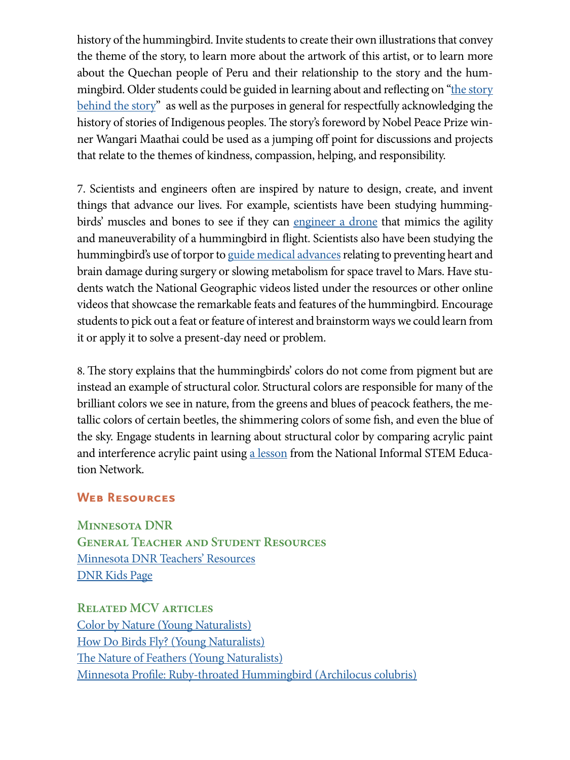history of the hummingbird. Invite students to create their own illustrations that convey the theme of the story, to learn more about the artwork of this artist, or to learn more about the Quechan people of Peru and their relationship to the story and the hummingbird. Older students could be guided in learning about and reflecting on "the story [behind the story](https://www.hummingbird.vancouveropera.ca/story)" as well as the purposes in general for respectfully acknowledging the history of stories of Indigenous peoples. The story's foreword by Nobel Peace Prize winner Wangari Maathai could be used as a jumping of point for discussions and projects that relate to the themes of kindness, compassion, helping, and responsibility.

7. Scientists and engineers often are inspired by nature to design, create, and invent things that advance our lives. For example, scientists have been studying hummingbirds' muscles and bones to see if they can [engineer a drone](https://newsroom.carleton.ca/story/hummingbirds-wings-inspire-technology/) that mimics the agility and maneuverability of a hummingbird in fight. Scientists also have been studying the hummingbird's use of torpor to [guide medical advances](https://www.sungazette.com/news/outdoors/2021/08/hummingbirds-use-of-torpor-is-something-that-scientists-are-studying/) relating to preventing heart and brain damage during surgery or slowing metabolism for space travel to Mars. Have students watch the National Geographic videos listed under the resources or other online videos that showcase the remarkable feats and features of the hummingbird. Encourage students to pick out a feat or feature of interest and brainstorm ways we could learn from it or apply it to solve a present-day need or problem.

8. The story explains that the humming birds colors do not come from pigment but are instead an example of structural color. Structural colors are responsible for many of the brilliant colors we see in nature, from the greens and blues of peacock feathers, the metallic colors of certain beetles, the shimmering colors of some fsh, and even the blue of the sky. Engage students in learning about structural color by comparing acrylic paint and interference acrylic paint using a [lesson](https://www.nisenet.org/catalog/interference-acrylics-painting-structural-color) from the National Informal STEM Education Network.

#### **Web Resources**

**Minnesota DNR General Teacher and Student Resources**  [Minnesota DNR Teachers' Resources](http://www.dnr.state.mn.us/education/teachers/index.html)  [DNR Kids Page](http://www.dnr.state.mn.us/dnrkids/index.html) 

**Related MCV articles**  [Color by Nature \(Young Naturalists](https://files.dnr.state.mn.us/mcvmagazine/young_naturalists/young-naturalists-article/color-in-nature/marapr2015_young_naturalists.pdf)) [How Do Birds Fly? \(Young Naturalists\)](https://files.dnr.state.mn.us/mcvmagazine/young_naturalists/young-naturalists-article/bird_flight/bird_flight.pdf)  The Nature of Feathers (Young Naturalists) [Minnesota Profle: Ruby-throated Hummingbird \(Archilocus colubris\)](https://www.dnr.state.mn.us/mcvmagazine/issues/2020/may-jun/hummingbird.html)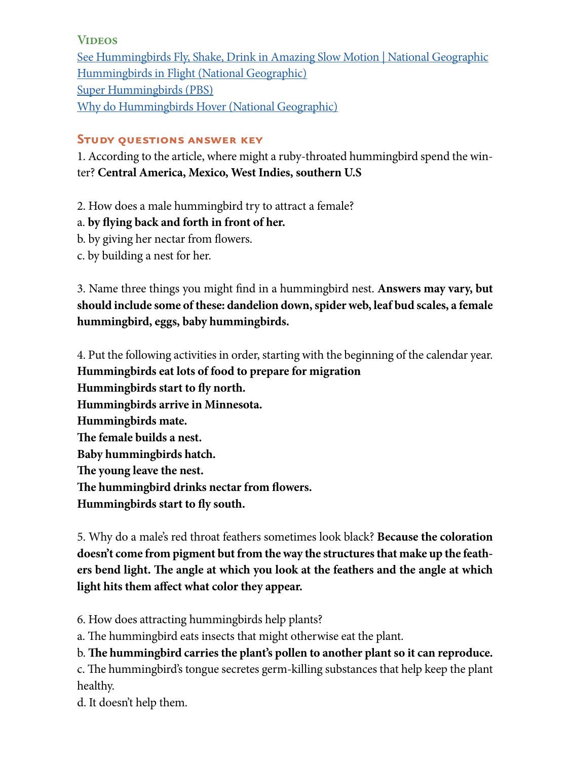#### **Videos**

[See Hummingbirds Fly, Shake, Drink in Amazing Slow Motion | National Geographic](https://www.youtube.com/watch?v=RtUQ_pz5wlo)  [Hummingbirds in Flight \(National Geographic\)](https://www.nationalgeographic.com/photography/graphics/hummingbirds-slow-motion-flight-videos)  [Super Hummingbirds \(PBS\)](https://www.pbs.org/video/nature-super-hummingbirds-full-episode/) [Why do Hummingbirds Hover \(National Geographic\)](https://www.youtube.com/watch?v=LiB6wWm1u44) 

## **Study questions answer key**

1. According to the article, where might a ruby-throated hummingbird spend the winter? **Central America, Mexico, West Indies, southern U.S** 

2. How does a male hummingbird try to attract a female?

a. **by fying back and forth in front of her.** 

- b. by giving her nectar from flowers.
- c. by building a nest for her.

3. Name three things you might fnd in a hummingbird nest. **Answers may vary, but should include some of these: dandelion down, spider web, leaf bud scales, a female hummingbird, eggs, baby hummingbirds.** 

4. Put the following activities in order, starting with the beginning of the calendar year. **Hummingbirds eat lots of food to prepare for migration Hummingbirds start to fy north. Hummingbirds arrive in Minnesota. Hummingbirds mate.**  The female builds a nest. **Baby hummingbirds hatch. The young leave the nest.** The hummingbird drinks nectar from flowers. **Hummingbirds start to fy south.** 

5. Why do a male's red throat feathers sometimes look black? **Because the coloration doesn't come from pigment but from the way the structures that make up the feath**ers bend light. The angle at which you look at the feathers and the angle at which **light hits them afect what color they appear.** 

6. How does attracting hummingbirds help plants?

a. The humming bird eats insects that might otherwise eat the plant.

b. The hummingbird carries the plant's pollen to another plant so it can reproduce.

c. The humming bird's tongue secretes germ-killing substances that help keep the plant healthy.

d. It doesn't help them.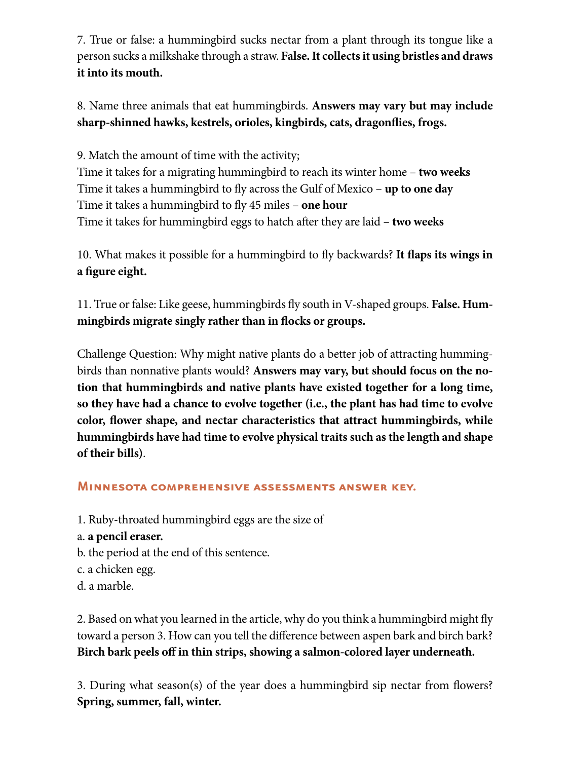7. True or false: a hummingbird sucks nectar from a plant through its tongue like a person sucks a milkshake through a straw. **False. It collects it using bristles and draws it into its mouth.** 

8. Name three animals that eat hummingbirds. **Answers may vary but may include sharp-shinned hawks, kestrels, orioles, kingbirds, cats, dragonfies, frogs.** 

9. Match the amount of time with the activity; Time it takes for a migrating hummingbird to reach its winter home – **two weeks**  Time it takes a hummingbird to fy across the Gulf of Mexico – **up to one day**  Time it takes a hummingbird to fy 45 miles – **one hour**  Time it takes for hummingbird eggs to hatch afer they are laid – **two weeks** 

10. What makes it possible for a hummingbird to fy backwards? **It faps its wings in a fgure eight.** 

11. True or false: Like geese, hummingbirds fy south in V-shaped groups. **False. Hummingbirds migrate singly rather than in focks or groups.** 

Challenge Question: Why might native plants do a better job of attracting hummingbirds than nonnative plants would? **Answers may vary, but should focus on the notion that hummingbirds and native plants have existed together for a long time, so they have had a chance to evolve together (i.e., the plant has had time to evolve color, fower shape, and nectar characteristics that attract hummingbirds, while hummingbirds have had time to evolve physical traits such as the length and shape of their bills)**.

#### **Minnesota comprehensive assessments answer key.**

1. Ruby-throated hummingbird eggs are the size of

- a. **a pencil eraser.**
- b. the period at the end of this sentence.
- c. a chicken egg.
- d. a marble.

2. Based on what you learned in the article, why do you think a hummingbird might fy toward a person 3. How can you tell the diference between aspen bark and birch bark? Birch bark peels off in thin strips, showing a salmon-colored layer underneath.

3. During what season(s) of the year does a hummingbird sip nectar from flowers? **Spring, summer, fall, winter.**